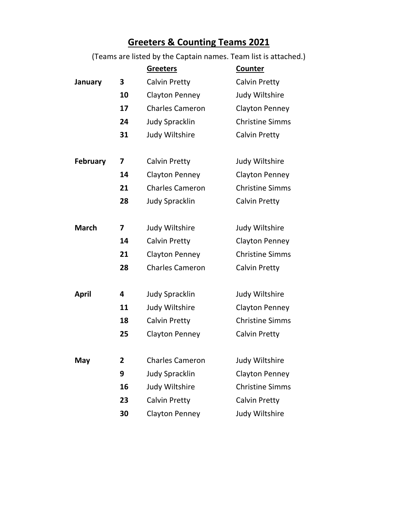## **Greeters & Counting Teams 2021**

(Teams are listed by the Captain names. Team list is attached.)

|                 |    | <b>Greeters</b>        | Counter                |
|-----------------|----|------------------------|------------------------|
| January         | 3  | <b>Calvin Pretty</b>   | <b>Calvin Pretty</b>   |
|                 | 10 | <b>Clayton Penney</b>  | Judy Wiltshire         |
|                 | 17 | <b>Charles Cameron</b> | <b>Clayton Penney</b>  |
|                 | 24 | <b>Judy Spracklin</b>  | <b>Christine Simms</b> |
|                 | 31 | Judy Wiltshire         | <b>Calvin Pretty</b>   |
|                 |    |                        |                        |
| <b>February</b> | 7  | <b>Calvin Pretty</b>   | Judy Wiltshire         |
|                 | 14 | <b>Clayton Penney</b>  | Clayton Penney         |
|                 | 21 | <b>Charles Cameron</b> | <b>Christine Simms</b> |
|                 | 28 | <b>Judy Spracklin</b>  | <b>Calvin Pretty</b>   |
|                 |    |                        |                        |
| <b>March</b>    | 7  | Judy Wiltshire         | Judy Wiltshire         |
|                 | 14 | <b>Calvin Pretty</b>   | <b>Clayton Penney</b>  |
|                 | 21 | <b>Clayton Penney</b>  | <b>Christine Simms</b> |
|                 | 28 | <b>Charles Cameron</b> | <b>Calvin Pretty</b>   |
|                 |    |                        |                        |
| <b>April</b>    | 4  | <b>Judy Spracklin</b>  | Judy Wiltshire         |
|                 | 11 | Judy Wiltshire         | <b>Clayton Penney</b>  |
|                 | 18 | Calvin Pretty          | <b>Christine Simms</b> |
|                 | 25 | <b>Clayton Penney</b>  | <b>Calvin Pretty</b>   |
|                 |    |                        |                        |
| May             | 2  | <b>Charles Cameron</b> | Judy Wiltshire         |
|                 | 9  | <b>Judy Spracklin</b>  | <b>Clayton Penney</b>  |
|                 | 16 | Judy Wiltshire         | <b>Christine Simms</b> |
|                 | 23 | <b>Calvin Pretty</b>   | <b>Calvin Pretty</b>   |
|                 | 30 | <b>Clayton Penney</b>  | Judy Wiltshire         |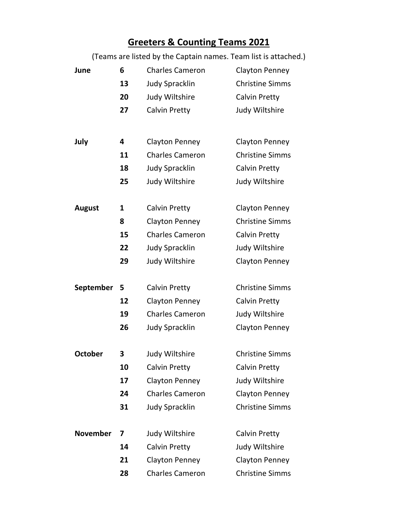## **Greeters & Counting Teams 2021**

(Teams are listed by the Captain names. Team list is attached.)

| June             | 6  | <b>Charles Cameron</b> | <b>Clayton Penney</b>  |
|------------------|----|------------------------|------------------------|
|                  | 13 | <b>Judy Spracklin</b>  | <b>Christine Simms</b> |
|                  | 20 | Judy Wiltshire         | <b>Calvin Pretty</b>   |
|                  | 27 | <b>Calvin Pretty</b>   | Judy Wiltshire         |
|                  |    |                        |                        |
| July             | 4  | <b>Clayton Penney</b>  | <b>Clayton Penney</b>  |
|                  | 11 | <b>Charles Cameron</b> | <b>Christine Simms</b> |
|                  | 18 | <b>Judy Spracklin</b>  | Calvin Pretty          |
|                  | 25 | Judy Wiltshire         | Judy Wiltshire         |
|                  |    |                        |                        |
| <b>August</b>    | 1  | <b>Calvin Pretty</b>   | <b>Clayton Penney</b>  |
|                  | 8  | <b>Clayton Penney</b>  | <b>Christine Simms</b> |
|                  | 15 | <b>Charles Cameron</b> | Calvin Pretty          |
|                  | 22 | <b>Judy Spracklin</b>  | Judy Wiltshire         |
|                  | 29 | Judy Wiltshire         | <b>Clayton Penney</b>  |
|                  |    |                        |                        |
| <b>September</b> | 5  | <b>Calvin Pretty</b>   | <b>Christine Simms</b> |
|                  | 12 | <b>Clayton Penney</b>  | Calvin Pretty          |
|                  | 19 | <b>Charles Cameron</b> | Judy Wiltshire         |
|                  | 26 | <b>Judy Spracklin</b>  | <b>Clayton Penney</b>  |
|                  |    |                        |                        |
| <b>October</b>   | 3  | Judy Wiltshire         | <b>Christine Simms</b> |
|                  | 10 | <b>Calvin Pretty</b>   | <b>Calvin Pretty</b>   |
|                  | 17 | <b>Clayton Penney</b>  | Judy Wiltshire         |
|                  | 24 | <b>Charles Cameron</b> | <b>Clayton Penney</b>  |
|                  | 31 | <b>Judy Spracklin</b>  | <b>Christine Simms</b> |
| <b>November</b>  | 7  | Judy Wiltshire         | Calvin Pretty          |
|                  | 14 | <b>Calvin Pretty</b>   | Judy Wiltshire         |
|                  | 21 | <b>Clayton Penney</b>  | <b>Clayton Penney</b>  |
|                  | 28 | <b>Charles Cameron</b> | <b>Christine Simms</b> |